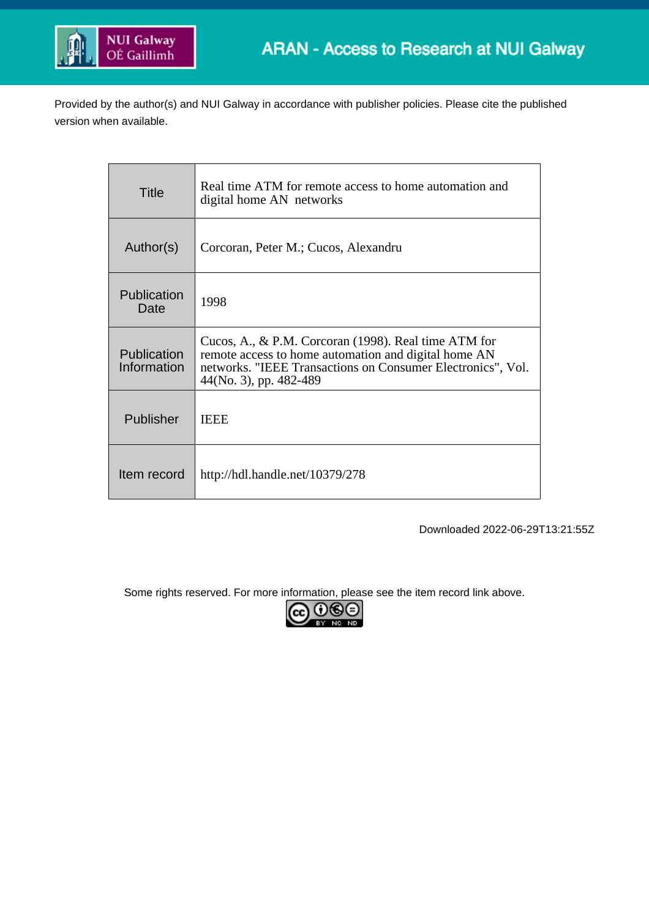

Provided by the author(s) and NUI Galway in accordance with publisher policies. Please cite the published version when available.

| Title                      | Real time ATM for remote access to home automation and<br>digital home AN networks                                                                                                                    |
|----------------------------|-------------------------------------------------------------------------------------------------------------------------------------------------------------------------------------------------------|
| Author(s)                  | Corcoran, Peter M.; Cucos, Alexandru                                                                                                                                                                  |
| Publication<br>Date        | 1998                                                                                                                                                                                                  |
| Publication<br>Information | Cucos, A., & P.M. Corcoran (1998). Real time ATM for<br>remote access to home automation and digital home AN<br>networks. "IEEE Transactions on Consumer Electronics", Vol.<br>44(No. 3), pp. 482-489 |
| Publisher                  | <b>IEEE</b>                                                                                                                                                                                           |
| Item record                | http://hdl.handle.net/10379/278                                                                                                                                                                       |

Downloaded 2022-06-29T13:21:55Z

Some rights reserved. For more information, please see the item record link above.

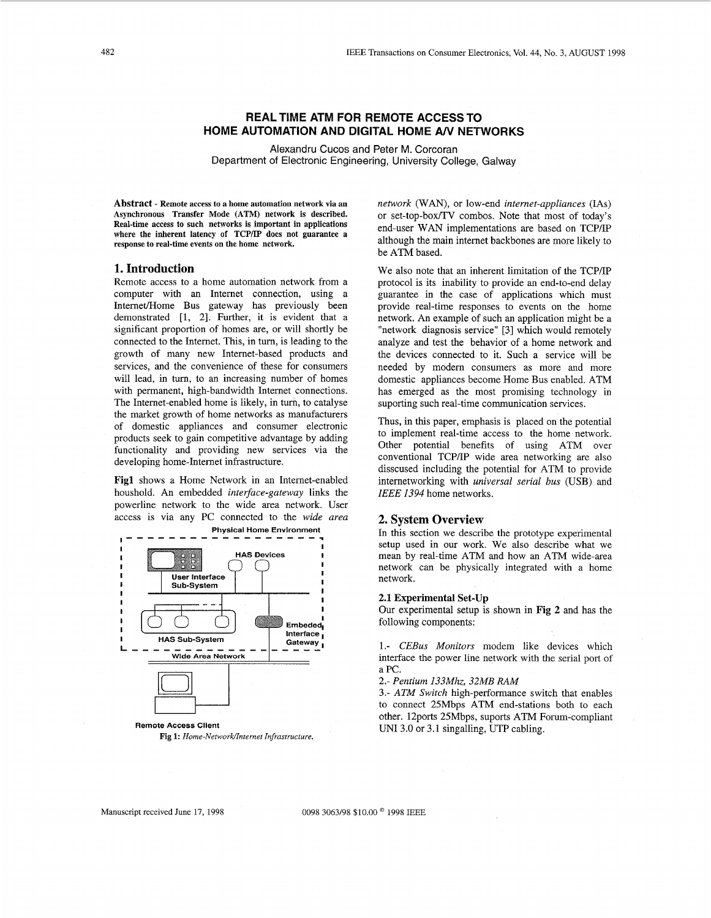# **REAL TIME ATM FOR REMOTE ACCESS TO HOME AUTOMATION AND DIGITAL HOME** *AN* **NETWORKS**

Alexandru Cucos and Peter M. Corcoran Department of Electronic Engineering, University College, Galway

**Abstract** - **Remote access to a home automation network via an Asynchronous Transfer Mode (ATM) network is described. Real-time access to such networks is important in applications**  where the inherent latency of TCP/IP does not guarantee a **response to real-time events on the home network.** 

### **1. Introduction**

Remote access to a home automation network from a computer with an Internet connection, using a Internet/Home Bus gateway has previously been demonstrated [1, 2]. Further, it is evident that a significant proportion of homes are, or will shortly be connected to the Internet. This, in turn, is leading to the growth of many new Internet-based products and services, and the convenience of these for consumers will lead, in turn, to an increasing number of homes with permanent, high-bandwidth Internet connections. The Internet-enabled home is likely, in turh, to catalyse the market growth of home networks as manufacturers of domestic appliances and consumer electronic products seek to gain competitive advantage by adding functionality and providing new services via the developing home-Internet infrastructure.

**Fig1** shows a Home Network in an Internet-enabled houshold. An embedded *interface-gateway* links the powerline network to the wide area network. User access is via any PC connected to the *wide area* 



Fig 1: Home-Network/Internet Infrastructure.

*network* (WAN), or low-end *internet-appliances* (IAs) or set-top-boxITV combos. Note that most of today's end-user WAN implementations are based on TCP/IP although the main internet backbones are more likely to be ATM based.

We also note that an inherent limitation of the TCP/IP protocol is its inability to provide an end-to-end delay guarantee in the case of applications which must provide real-time responses to events on the home network. An example of such an application might be a "network diagnosis service" [3] which would remotely analyze and test the behavior of a home network and the devices connected to it. Such a service will be needed by modern consumers as more and more domestic appliances become Home Bus enabled. ATM has emerged as the most promising technology in suporting such real-time communication services.

Thus, in this paper, emphasis is placed on the potential to implement real-time access to the home network. Other potential benefits of using ATM over conventional TCP/IP wide area networking are also disscused including the potential for ATM to provide intemetworking with *universal serial bus* (USB) and *IEEE* 1394 home networks.

### **2. System Overview**

In this section we describe the prototype experimental setup used in our work. We also describe what we mean by real-time ATM and how an ATM wide-area network can be physically integrated with a home network.

#### **2.1 Experimental Set-Up**

Our experimental setup is shown in **Fig 2** and has the following components:

1.- *CEBus Monitors* modem like devices which interface the power line network with the serial port of a PC.

2.- *Pentium 133Mhz, 32MB RAM* 

**3.-** *ATM Switch* high-performance switch that enables to connect 25Mbps ATM end-stations both to each other. 12ports 25Mbps, suports **ATM** Forum-compliant UN1 3.0 or 3.1 singalling, UTP cabling.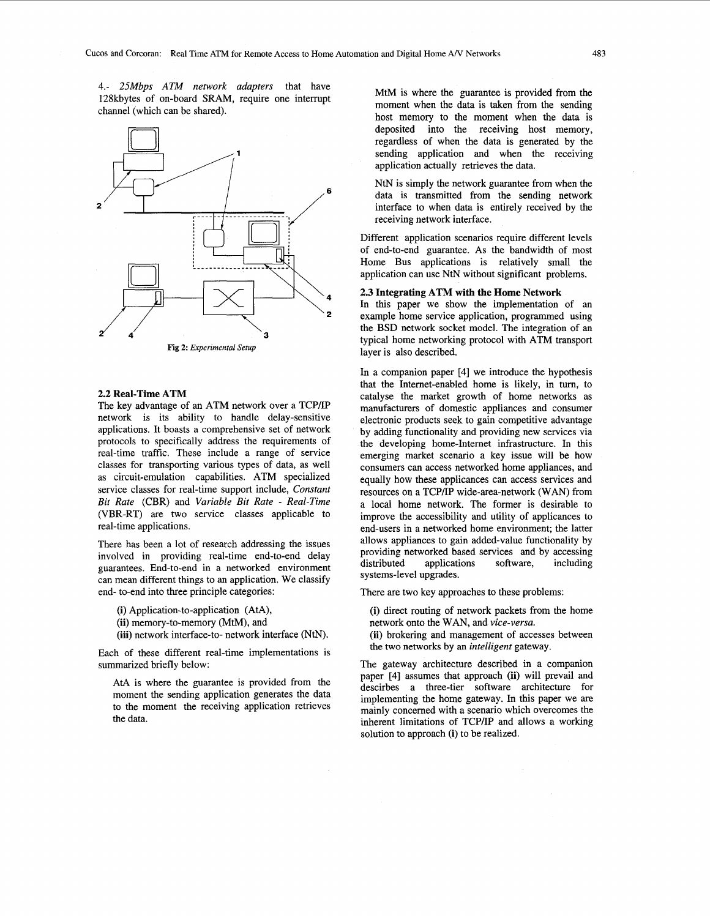4.- *25Mbps ATM network adapters* that have 128kbytes of on-board **SRAM,** require one interrupt channel (which can be shared).



#### **2.2 Real-Time ATM**

The key advantage of an ATM network over a TCP/IP network is its ability to handle delay-sensitive applications. It boasts a comprehensive set of network protocols to specifically address the requirements of real-time traffic. These include a range of service classes for transporting various types of data, as well as circuit-emulation capabilities. ATM specialized service classes for real-time support include, *Constant Bit Rate* (CBR) and *Variable Bit Rate* - *Real-Time*  (VBR-RT) are two service classes applicable to real-time applications.

There has been a lot of research addressing the issues involved in providing real-time end-to-end delay guarantees. End-to-end in a networked environment can mean different things to an application. We classify end- to-end into three principle categories:

- **(i)** Application-to-application (AtA), **(ii)** memory-to-memory **(MtM),** and
- **(iii)** network interface-to- network interface (NtN).

Each of these different real-time implementations is summarized briefly below:

AtA is where the guarantee is provided from the moment the sending application generates the data to the moment the receiving application retrieves the data.

MtM is where the guarantee is provided from the moment when the data is taken from the sending host memory to the moment when the data is deposited into the receiving host memory, regardless of when the data is generated by the sending application and when the receiving application actually retrieves the data.

**NtN** is simply the network guarantee from when the data is transmitted from the sending network interface to when data is entirely received by the receiving network interface.

Different application scenarios require different levels of end-to-end guarantee. As the bandwidth of most Home Bus applications is relatively small the application can use NtN without significant problems.

### **2.3 Integrating ATM with the Home Network**

In this paper we show the implementation of an example home service application, programmed using the **BSD** network socket model. The integration of **an**  typical home networking protocol with ATM transport layer is also described.

In a companion paper [4] we introduce the hypothesis that the Internet-enabled home is likely, in turn, to catalyse the market growth of home networks as manufacturers of domestic appliances and consumer electronic products seek to gain competitive advantage by adding functionality and providing new services via the developing home-Internet infrastructure. In this emerging market scenario a key issue will be how consumers can access networked home appliances, and equally how these applicances can access services and resources on a TCPAP wide-area-network (WAN) from a local home network. The former is desirable to improve the accessibility and utility of applicances to end-users in a networked home environment; the latter allows appliances to gain added-value functionality by providing networked based services and by accessing distributed applications software, including systems-level upgrades.

There are two key approaches to these problems:

**(i)** direct routing of network packets from the home network onto the WAN, and *vice-versa.* 

**(ii)** brokering and management of accesses between the two networks by an *intelligent* gateway.

The gateway architecture described in a companion paper [4] assumes that approach **(ii)** will prevail and descirbes a three-tier software architecture for implementing the home gateway. In this paper we are mainly concerned with a scenario which overcomes the inherent limitations of TCPAP and allows a working solution to approach **(i)** to be realized.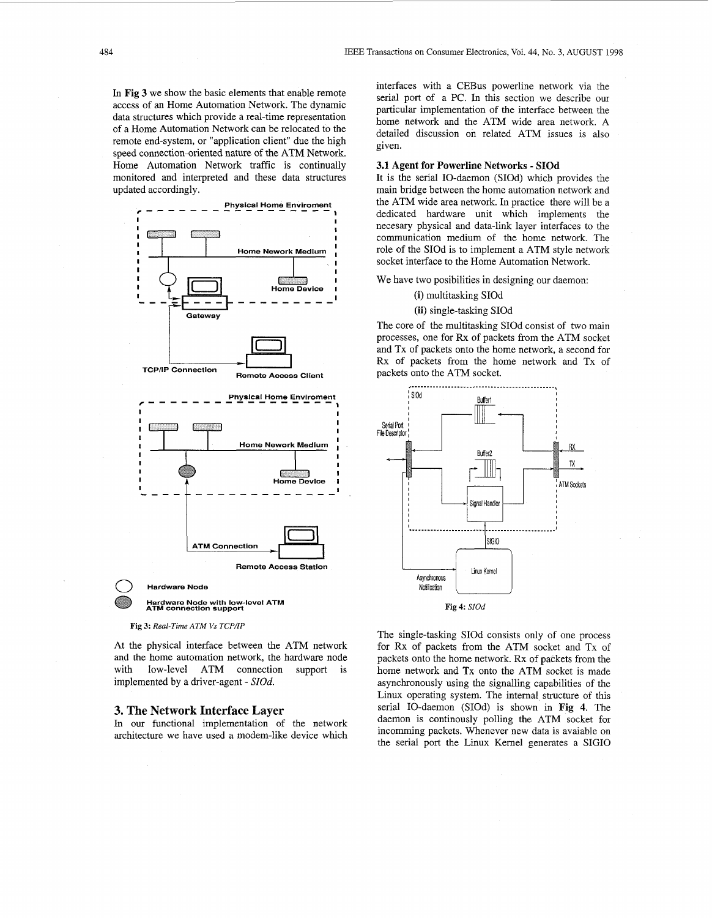In **Fig 3** we show the basic elements that enable remote access of an Home Automation Network. The dynamic data structures which provide a real-time representation of a Home Automation Network can be relocated to the remote end-system, or "application client" due the high speed connection-oriented nature of the ATM Network. Home Automation Network traffic is continually monitored and interpreted and these data structures updated accordingly.



**Hardware Node with low-level ATM ATM connection support** 

At the physical interface between the ATM network and the home automation network, the hardware node with low-level ATM connection support is implemented by a driver-agent - *SIOd.* 

### **3. The Network Interface Layer**

In our functional implementation of the network architecture we have used a modem-like device which interfaces with a CEBus powerline network via the serial port of a PC. In this section we describe our particular implementation of the interface between the home network and the ATM wide area network. A detailed discussion on related ATM issues is also given.

### **3.1 Agent for Powerline Networks** - **SIOd**

It is the serial IO-daemon (SIOd) which provides the main bridge between the home automation network and the ATM wide area network. In practice there will be a dedicated hardware unit which implements the necesary physical and data-link layer interfaces to the communication medium of the home network. The role of the SIOd is to implement a ATM style network socket interface to the Home Automation Network.

We have two posibilities in designing our daemon:

### **(i)** multitasking SIOd

**(ii)** single-tasking SIOd

The core of the multitasking SIOd consist of two main processes, one for Rx of packets from the ATM socket and Tx of packets onto the home network, a second for Rx of packets from the home network and Tx of packets onto the ATM socket.



The single-tasking SIOd consists only of one process for Rx of packets from the ATM socket and Tx of packets onto the home network. **Rx** of packets from the home network and Tx onto the ATM socket is made asynchronously using the signalling capabilities of the Linux operating system. The internal structure of this serial IO-daemon (SIOd) is shown in **Fig 4.** The daemon is continously polling the ATM socket for incomming packets. Whenever new data is avaiable on the serial port the Linux Kernel generates a SIGIO

**Fig 3:** *Real-Time ATM Vs TCPJP*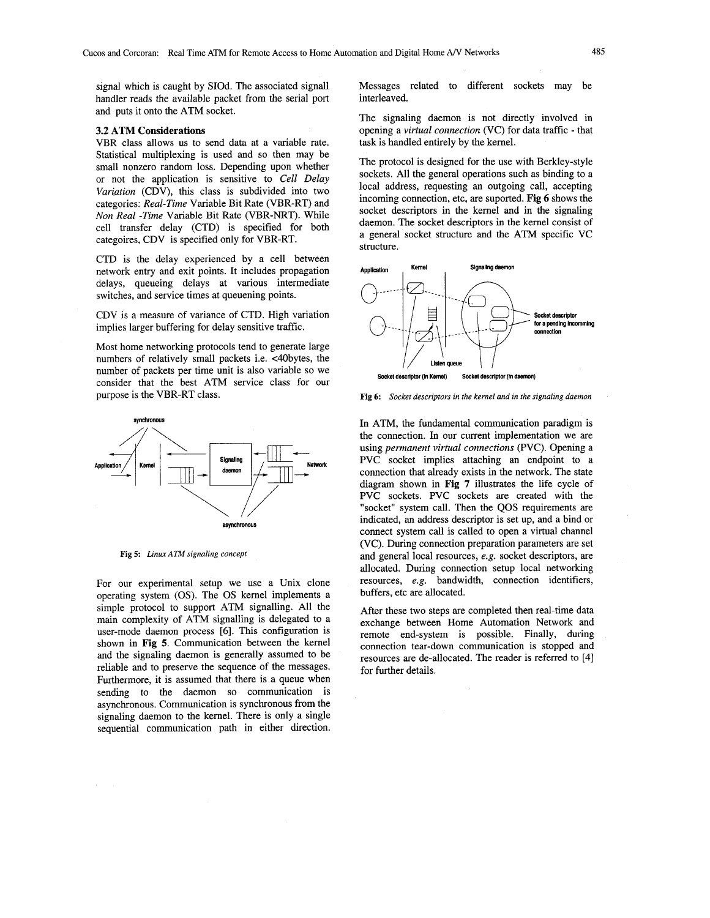signal which is caught by SIOd. The associated signal1 handler reads the available packet from the serial port and puts it onto the ATM socket.

#### **3.2 ATM Considerations**

VBR class allows us to send data at a variable rate. Statistical multiplexing is used and so then may be small nonzero random loss. Depending upon whether or not the application is sensitive to *Cell Delay Variation* (CDV), this class is subdivided into two categories: *Real-Time* Variable Bit Rate (VBR-RT) and *Non Real -Time* Variable Bit Rate (VBR-NRT). While cell transfer delay (CTD) is specified for both categoires, CDV is specified only for VBR-RT.

CTD is the delay experienced by a cell between network entry and exit points. It includes propagation delays, queueing delays at various intermediate switches, and service times at queuening points.

CDV is a measure of variance of CTD. High variation implies larger buffering for delay sensitive traffic.

Most home networking protocols tend to generate large numbers of relatively small packets i.e. <4Obytes, the number of packets per time unit is also variable so we consider that the best ATM service class for our purpose is the VBR-RT class.



**Fig** *5: Linux ATM signaling concept* 

For our experimental setup we use a Unix clone operating system **(OS).** The **OS** kernel implements a simple protocol to support ATM signalling. All the main complexity of ATM signalling is delegated to a user-mode daemon process *[6].* This configuration is shown in **Fig 5.** Communication between the kernel and the signaling daemon is generally assumed to be reliable and to preserve the sequence of the messages. Furthermore, it is assumed that there is a queue when sending to the daemon so communication is asynchronous. Communication is synchronous from the signaling daemon to the kernel. There is only a single sequential communication path in either direction.

Messages related to different sockets may be interleaved.

The signaling daemon is not directly involved in opening a *virtual connection* (VC) for data traffic - that task is handled entirely by the kernel.

The protocol is designed for the use with Berkley-style sockets. All the general operations such as binding to a local address, requesting an outgoing call, accepting incoming connection, etc, are suported. **Fig 6** shows the socket descriptors in the kernel and in the signaling daemon. The socket descriptors in the kernel consist of a general socket structure and the ATM specific VC structure.



**Fig 6:** *Socket descriptors in the kernel and in the signaling daemon* 

In ATM, the fundamental communication paradigm is the connection. In our current implementation we are using *permanent virtual connections* (PVC). Opening a PVC socket implies attaching an endpoint to a connection that already exists in the network. The state diagram shown in **Fig 7** illustrates the life cycle of PVC sockets. PVC sockets are created with the "socket" system call. Then the QOS requirements are indicated, an address descriptor is set up, and a bind or connect system call is called to open a virtual channel **(VC).** During connection preparation parameters are set and general local resources, *e.g.* socket descriptors, are allocated. During connection setup local networking resources, *e.g.* bandwidth, connection identifiers, buffers, etc are allocated.

After these two steps are completed then real-time data exchange between Home Automation Network and remote end-system is possible. Finally, during connection tear-down communication is stopped and resources are de-allocated. The reader is referred to [4] for further details.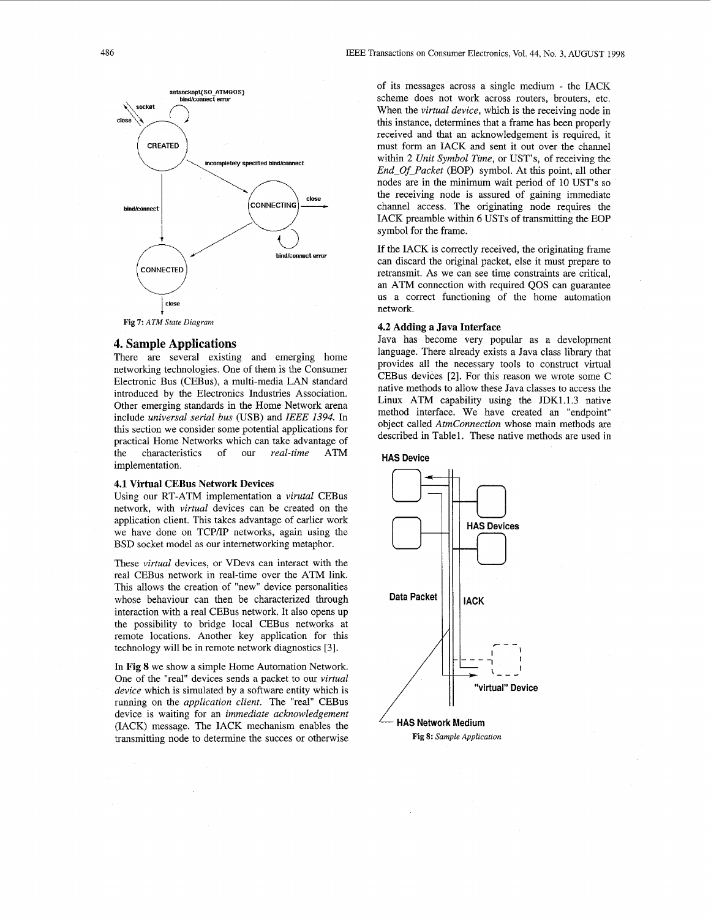

### **4. Sample Applications**

There are several existing and emerging home networking technologies. One of them is the Consumer Electronic Bus (CEBus), a multi-media LAN standard introduced by the Electronics Industries Association. Other emerging standards in the Home Network arena include *universal serial bus* (USB) and *IEEE 1394.* In this section we consider some potential applications for practical Home Networks which can take advantage of the characteristics of our *real-time* ATM implementation.

#### **4.1 Virtual CEBus Network Devices**

Using our RT-ATM implementation a *virutal* CEBus network, with *virtual* devices can be created on the application client. This takes advantage of earlier work we have done on TCP/IP networks, again using the BSD socket model as our internetworking metaphor.

These *virtual* devices, or VDevs can interact with the real CEBus network in real-time over the ATM link. This allows the creation of "new" device personalities whose behaviour can then be characterized through interaction with a real CEBus network. It also opens up the possibility to bridge local CEBus networks at remote locations. Another key application for this technology will be in remote network diagnostics *[3].* 

In **Fig 8** we show a simple Home Automation Network. One of the "real" devices sends a packet to our *virtual device* which is simulated by a software entity which is running on the *application client.* The "real" CEBus device is waiting for an *immediate acknowledgement*  (IACK) message. The IACK mechanism enables the transmitting node to determine the succes or otherwise

of its messages across a single medium - the IACK scheme does not work across routers, brouters, etc. When the *virtual device,* which is the receiving node in this instance, determines that a frame has been properly received and that an acknowledgement is required, it must form an IACK and sent it out over the channel within 2 *Unit Symbol Time,* or UST's, of receiving the *End-Of-Packet* (EOP) symbol. At this point, all other nodes are in the minimum wait period of 10 UST's so the receiving node is assured of gaining immediate channel access. The originating node requires the IACK preamble within 6 USTs of transmitting the EOP symbol for the frame.

If the IACK is correctly received, the originating frame can discard the original packet, else it must prepare to retransmit. As we can see time constraints are critical, an ATM connection with required QOS can guarantee us a correct functioning of the home automation network.

### **4.2 Adding a Java Interface**

Java has become very popular as a development language. There already exists a Java class library that provides all the necessary tools to construct virtual CEBus devices *[2].* For this reason we wrote some C native methods to allow these Java classes to access the Linux ATM capability using the  $JDK1.1.3$  native method interface. We have created an "endpoint" object called *AtmConnection* whose main methods are described in Tablel. These native methods are used in

#### **HAS Device**

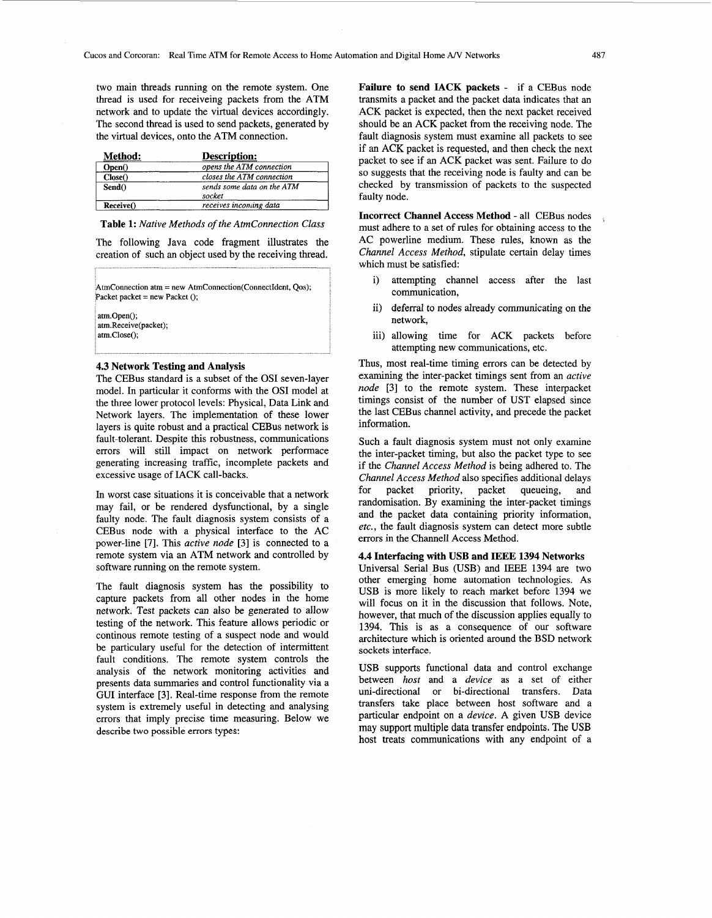two main threads running on the remote system. One thread is used for receiveing packets from the ATM network and to update the virtual devices accordingly. The second thread is used to send packets, generated by the virtual devices, onto the ATM connection.

| Method:   | Description:                         |
|-----------|--------------------------------------|
| Open()    | opens the ATM connection             |
| Close()   | closes the ATM connection            |
| Send()    | sends some data on the ATM<br>socket |
| Receive() | receives inconing data               |

**Table 1:** *Native Methods of the AtmConnection Class* 

The following Java code fragment illustrates the creation of such an object used by the receiving thread.

AtmConnection atm = new AtmConnection(ConnectIdent, Qos); Packet packet = new Packet ();

**1"** ................................... " I ~-

atm.Open(); atm.Receive(packet); atm.Close();

#### **4.3 Network Testing and Analysis**

The CEBus standard is a subset of the OS1 seven-layer model. In particular it conforms with the OS1 model at the three lower protocol levels: Physical, Data Link and Network layers. The implementation of these lower layers is quite robust and a practical CEBus network is fault-tolerant. Despite this robustness, communications errors will still impact on network performace generating increasing traffic, incomplete packets and excessive usage of IACK call-backs.

In worst case situations it is conceivable that a network may fail, or be rendered dysfunctional, by a single faulty node. The fault diagnosis system consists of a CEBus node with a physical interface to the AC power-line [7]. This *active node* [3] is connected to a remote system via an ATM network and controlled by software running on the remote system.

The fault diagnosis system has the possibility to capture packets from all other nodes in the home network. Test packets can also be generated to allow testing of the network. This feature allows periodic or continous remote testing of a suspect node and would be particulary useful for the detection of intermittent fault conditions. The remote system controls the analysis of the network monitoring activities and presents data summaries and control functionality via a GUI interface [3]. Real-time response from the remote system is extremely useful in detecting and analysing errors that imply precise time measuring. Below we **describe two** possible **errors** types:

**Failure to send IACK packets** - if a CEBus node transmits a packet and the packet data indicates that an ACK packet is expected, then the next packet received should be an ACK packet from the receiving node. The fault diagnosis system must examine all packets to see if an ACK packet is requested, and then check the next packet to see if an ACK packet was sent. Failure to do so suggests that the receiving node is faulty and can be checked by transmission of packets to the suspected faulty node.

**Incorrect Channel Access Method** - all CEBus nodes must adhere to a set of rules for obtaining access to the AC powerline medium. These rules, known as the *Channel Access Method,* stipulate certain delay times which must be satisfied:

- i) attempting channel access after the last communication,
- ii) deferral to nodes already communicating on the network,
- iii) allowing time for ACK packets before attempting new communications, etc.

Thus, most real-time timing errors can be detected by examining the inter-packet timings sent from an *active node* [3] to the remote system. These interpacket timings consist of the number of UST elapsed since the last CEBus channel activity, and precede the packet information.

Such a fault diagnosis system must not only examine the inter-packet timing, but also the packet type to see if the *Channel Access Method* is being adhered to. The *Channel Access Method* also specifies additional delays for packet priority, packet queueing, and randomisation. By examining the inter-packet timings and the packet data containing priority information, *etc.,* the fault diagnosis system can detect more subtle errors in the Channel1 Access Method.

### **4.4 Interfacing with USB and IEEE 1394 Networks**

Universal Serial Bus (USB) and IEEE 1394 are two other emerging home automation technologies. As USB is more likely to reach market before 1394 we will focus on it in the discussion that follows. Note, however, that much of the discussion applies equally to 1394. This is as a consequence of our software architecture which is oriented around the BSD network sockets interface.

USB supports functional data and control exchange between *host* and a *device* as a set of either uni-directional or bi-directional transfers. Data transfers take place between host software and a particular endpoint on a *device.* A given USB device may support multiple data transfer endpoints. The **USB**  host treats communications with any endpoint of a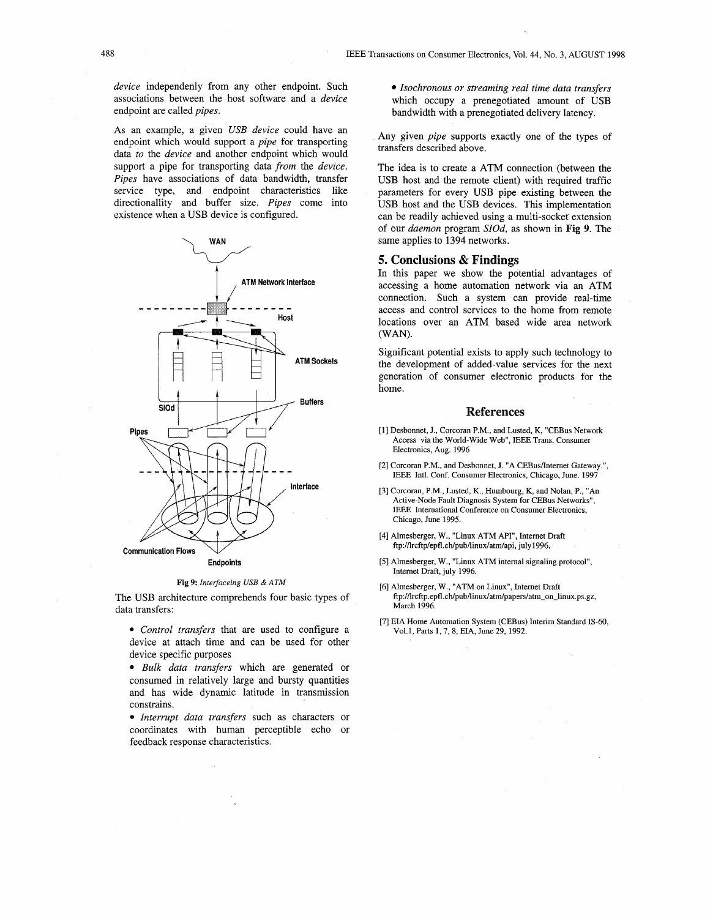*device* independenly from any other endpoint. Such associations between the host software and a *device*  endpoint are called *pipes.* 

As an example, a given *USB device* could have an endpoint which would support a *pipe* for transporting data *to* the *device* and another endpoint which would support a pipe for transporting data *from* the *device. Pipes* have associations of data bandwidth, transfer service type, and endpoint characteristics like directionallity and buffer size. *Pipes* come into existence when a USB device is configured.



**Fig 9:** *Interfaceing USB* & *ATM* 

The USB architecture comprehends four basic types of data transfers:

- *0 Control transfers* that are used to configure a device at attach time and can be used for other device specific purposes
- *0 Bulk data transfers* which are generated or consumed in relatively large and bursty quantities and has wide dynamic latitude in transmission constrains.
- *0 Interrupt data transfers* such as characters or coordinates with human perceptible echo or feedback response characteristics.

*Isochronous or streaming real time data transfers*  which occupy a prenegotiated amount of USB bandwidth with a prenegotiated delivery latency.

Any given *pipe* supports exactly one of the types of transfers described above.

The idea is to create a **ATM** connection (between the USB host and the remote client) with required traffic parameters for every USB pipe existing between the USB host and the USB devices. This implementation can be readily achieved using a multi-socket extension of our *daemon* program *SIOd,* as shown in **Fig 9.** The same applies to 1394 networks.

### **5. Conclusions** & **Findings**

In this paper we show the potential advantages of accessing a home automation network via an ATM connection. Such a system can provide real-time access and control services to the home from remote locations over an ATM based wide area network (WAN).

Significant potential exists to apply such technology to the development of added-value services for the next generation of consumer electronic products for the home.

#### **References**

- **[l]** Desbonnet, J., Corcoran P.M., and Lusted, K, "CEBus Network Access via the World-Wide Web", IEEE Trans. Consumer Electronics, Aug. 1996
- [2] Corcoran P.M., and Desbonnet, J. "A CEBus/Internet Gateway.", IEEE Intl. Conf. Consumer Electronics, Chicago, June. 1997
- **[3]** Corcoran, P.M., Lusted, K., Humbourg, K, and Nolan, P., "An Active-Node Fault Diagnosis System for CEBus Networks", IEEE International Conference on Consumer Electronics, Chicago, June 1995.
- [4] Almesberger, W., "Linux ATM API", Internet Draft **<ftp://lrcftp/epfl.ch/pub/linux/atm/api>,** july 1996.
- [5] Almesberger, W., "Linux ATM internal signaling protocol", Internet Draft, july 1996.
- [6] Almesberger, W., "ATM on Linux", Internet Draft **ftp:/flrcftp.epfl.ch/pubflinux/atm/papers/a~-on-linux.ps.gz,**  March 1996.
- *[7]* EIA Home Automation System (CEBus) Interim Standard IS-60, Vol.1, Parts 1,7,8, EIA, June 29, 1992.